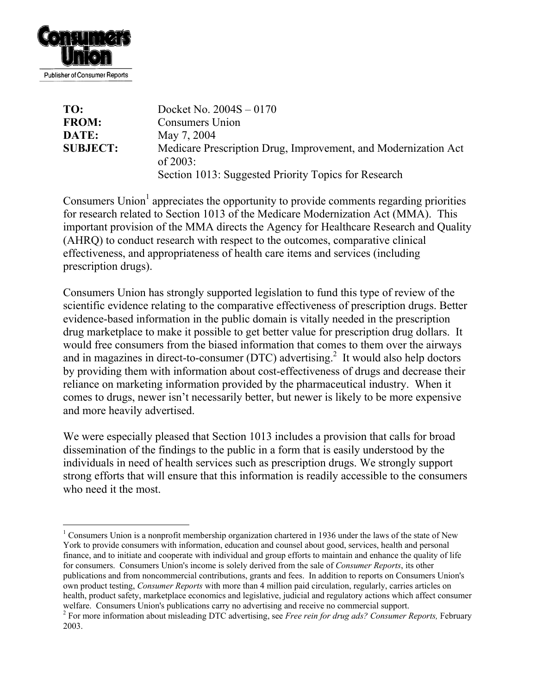

| TO:             | Docket No. $2004S - 0170$                                                     |
|-----------------|-------------------------------------------------------------------------------|
| <b>FROM:</b>    | Consumers Union                                                               |
| DATE:           | May 7, 2004                                                                   |
| <b>SUBJECT:</b> | Medicare Prescription Drug, Improvement, and Modernization Act<br>of $2003$ : |
|                 | Section 1013: Suggested Priority Topics for Research                          |

Consumers Union<sup>[1](#page-0-0)</sup> appreciates the opportunity to provide comments regarding priorities for research related to Section 1013 of the Medicare Modernization Act (MMA). This important provision of the MMA directs the Agency for Healthcare Research and Quality (AHRQ) to conduct research with respect to the outcomes, comparative clinical effectiveness, and appropriateness of health care items and services (including prescription drugs).

Consumers Union has strongly supported legislation to fund this type of review of the scientific evidence relating to the comparative effectiveness of prescription drugs. Better evidence-based information in the public domain is vitally needed in the prescription drug marketplace to make it possible to get better value for prescription drug dollars. It would free consumers from the biased information that comes to them over the airways and in magazines in direct-to-consumer (DTC) advertising.<sup>2</sup> It would also help doctors by providing them with information about cost-effectiveness of drugs and decrease their reliance on marketing information provided by the pharmaceutical industry. When it comes to drugs, newer isn't necessarily better, but newer is likely to be more expensive and more heavily advertised.

We were especially pleased that Section 1013 includes a provision that calls for broad dissemination of the findings to the public in a form that is easily understood by the individuals in need of health services such as prescription drugs. We strongly support strong efforts that will ensure that this information is readily accessible to the consumers who need it the most.

<span id="page-0-0"></span> <sup>1</sup> Consumers Union is a nonprofit membership organization chartered in 1936 under the laws of the state of New York to provide consumers with information, education and counsel about good, services, health and personal finance, and to initiate and cooperate with individual and group efforts to maintain and enhance the quality of life for consumers. Consumers Union's income is solely derived from the sale of *Consumer Reports*, its other publications and from noncommercial contributions, grants and fees. In addition to reports on Consumers Union's own product testing, *Consumer Reports* with more than 4 million paid circulation, regularly, carries articles on health, product safety, marketplace economics and legislative, judicial and regulatory actions which affect consumer

<span id="page-0-1"></span>welfare. Consumers Union's publications carry no advertising and receive no commercial support.<br><sup>2</sup> For more information about misleading DTC advertising, see *Free rein for drug ads? Consumer Reports*, February 2003.